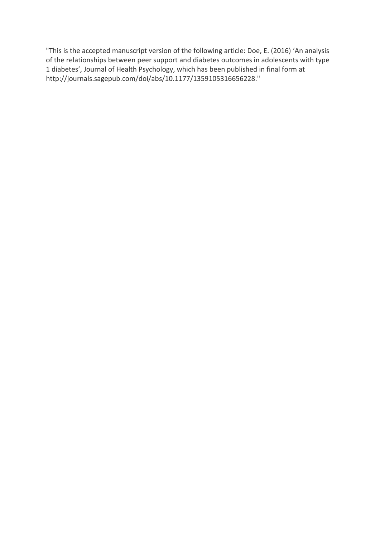"This is the accepted manuscript version of the following article: Doe, E. (2016) 'An analysis of the relationships between peer support and diabetes outcomes in adolescents with type 1 diabetes', Journal of Health Psychology, which has been published in final form at http://journals.sagepub.com/doi/abs/10.1177/1359105316656228."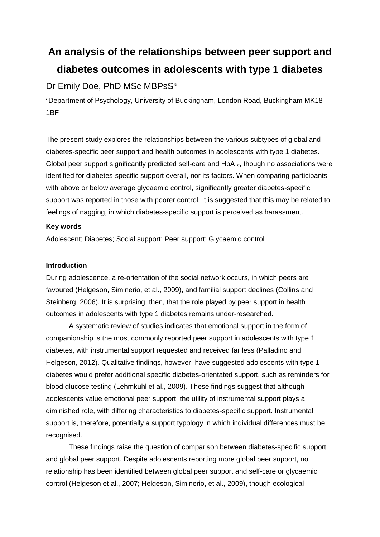# **An analysis of the relationships between peer support and diabetes outcomes in adolescents with type 1 diabetes**

## Dr Emily Doe, PhD MSc MBPsS<sup>a</sup>

aDepartment of Psychology, University of Buckingham, London Road, Buckingham MK18 1BF

The present study explores the relationships between the various subtypes of global and diabetes-specific peer support and health outcomes in adolescents with type 1 diabetes. Global peer support significantly predicted self-care and  $HbA_{1c}$ , though no associations were identified for diabetes-specific support overall, nor its factors. When comparing participants with above or below average glycaemic control, significantly greater diabetes-specific support was reported in those with poorer control. It is suggested that this may be related to feelings of nagging, in which diabetes-specific support is perceived as harassment.

## **Key words**

Adolescent; Diabetes; Social support; Peer support; Glycaemic control

## **Introduction**

During adolescence, a re-orientation of the social network occurs, in which peers are favoured (Helgeson, Siminerio, et al., 2009), and familial support declines (Collins and Steinberg, 2006). It is surprising, then, that the role played by peer support in health outcomes in adolescents with type 1 diabetes remains under-researched.

A systematic review of studies indicates that emotional support in the form of companionship is the most commonly reported peer support in adolescents with type 1 diabetes, with instrumental support requested and received far less (Palladino and Helgeson, 2012). Qualitative findings, however, have suggested adolescents with type 1 diabetes would prefer additional specific diabetes-orientated support, such as reminders for blood glucose testing (Lehmkuhl et al., 2009). These findings suggest that although adolescents value emotional peer support, the utility of instrumental support plays a diminished role, with differing characteristics to diabetes-specific support. Instrumental support is, therefore, potentially a support typology in which individual differences must be recognised.

These findings raise the question of comparison between diabetes-specific support and global peer support. Despite adolescents reporting more global peer support, no relationship has been identified between global peer support and self-care or glycaemic control (Helgeson et al., 2007; Helgeson, Siminerio, et al., 2009), though ecological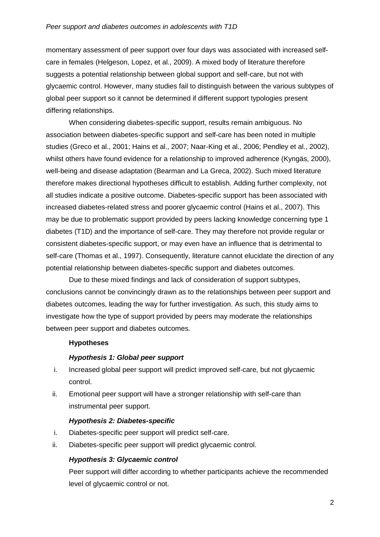momentary assessment of peer support over four days was associated with increased selfcare in females (Helgeson, Lopez, et al., 2009). A mixed body of literature therefore suggests a potential relationship between global support and self-care, but not with glycaemic control. However, many studies fail to distinguish between the various subtypes of global peer support so it cannot be determined if different support typologies present differing relationships.

When considering diabetes-specific support, results remain ambiguous. No association between diabetes-specific support and self-care has been noted in multiple studies (Greco et al., 2001; Hains et al., 2007; Naar-King et al., 2006; Pendley et al., 2002), whilst others have found evidence for a relationship to improved adherence (Kyngäs, 2000), well-being and disease adaptation (Bearman and La Greca, 2002). Such mixed literature therefore makes directional hypotheses difficult to establish. Adding further complexity, not all studies indicate a positive outcome. Diabetes-specific support has been associated with increased diabetes-related stress and poorer glycaemic control (Hains et al., 2007). This may be due to problematic support provided by peers lacking knowledge concerning type 1 diabetes (T1D) and the importance of self-care. They may therefore not provide regular or consistent diabetes-specific support, or may even have an influence that is detrimental to self-care (Thomas et al., 1997). Consequently, literature cannot elucidate the direction of any potential relationship between diabetes-specific support and diabetes outcomes.

Due to these mixed findings and lack of consideration of support subtypes, conclusions cannot be convincingly drawn as to the relationships between peer support and diabetes outcomes, leading the way for further investigation. As such, this study aims to investigate how the type of support provided by peers may moderate the relationships between peer support and diabetes outcomes.

## **Hypotheses**

## *Hypothesis 1: Global peer support*

- i. Increased global peer support will predict improved self-care, but not glycaemic control.
- ii. Emotional peer support will have a stronger relationship with self-care than instrumental peer support.

## *Hypothesis 2: Diabetes-specific*

- i. Diabetes-specific peer support will predict self-care.
- ii. Diabetes-specific peer support will predict glycaemic control.

## *Hypothesis 3: Glycaemic control*

Peer support will differ according to whether participants achieve the recommended level of glycaemic control or not.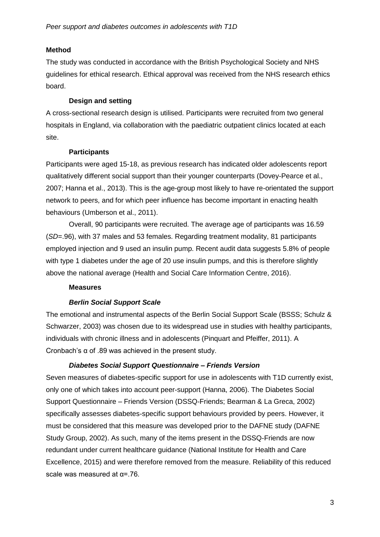## **Method**

The study was conducted in accordance with the British Psychological Society and NHS guidelines for ethical research. Ethical approval was received from the NHS research ethics board.

## **Design and setting**

A cross-sectional research design is utilised. Participants were recruited from two general hospitals in England, via collaboration with the paediatric outpatient clinics located at each site.

## **Participants**

Participants were aged 15-18, as previous research has indicated older adolescents report qualitatively different social support than their younger counterparts (Dovey-Pearce et al., 2007; Hanna et al., 2013). This is the age-group most likely to have re-orientated the support network to peers, and for which peer influence has become important in enacting health behaviours (Umberson et al., 2011).

Overall, 90 participants were recruited. The average age of participants was 16.59 (*SD*=.96), with 37 males and 53 females. Regarding treatment modality, 81 participants employed injection and 9 used an insulin pump. Recent audit data suggests 5.8% of people with type 1 diabetes under the age of 20 use insulin pumps, and this is therefore slightly above the national average (Health and Social Care Information Centre, 2016).

## **Measures**

## *Berlin Social Support Scale*

The emotional and instrumental aspects of the Berlin Social Support Scale (BSSS; Schulz & Schwarzer, 2003) was chosen due to its widespread use in studies with healthy participants, individuals with chronic illness and in adolescents (Pinquart and Pfeiffer, 2011). A Cronbach's α of .89 was achieved in the present study.

## *Diabetes Social Support Questionnaire – Friends Version*

Seven measures of diabetes-specific support for use in adolescents with T1D currently exist, only one of which takes into account peer-support (Hanna, 2006). The Diabetes Social Support Questionnaire – Friends Version (DSSQ-Friends; Bearman & La Greca, 2002) specifically assesses diabetes-specific support behaviours provided by peers. However, it must be considered that this measure was developed prior to the DAFNE study (DAFNE Study Group, 2002). As such, many of the items present in the DSSQ-Friends are now redundant under current healthcare guidance (National Institute for Health and Care Excellence, 2015) and were therefore removed from the measure. Reliability of this reduced scale was measured at  $\alpha$ =.76.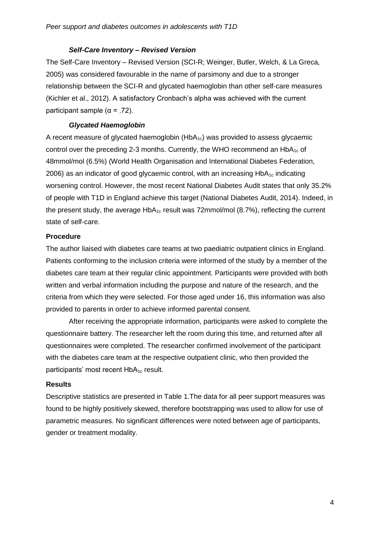#### *Self-Care Inventory – Revised Version*

The Self-Care Inventory – Revised Version (SCI-R; Weinger, Butler, Welch, & La Greca, 2005) was considered favourable in the name of parsimony and due to a stronger relationship between the SCI-R and glycated haemoglobin than other self-care measures (Kichler et al., 2012). A satisfactory Cronbach's alpha was achieved with the current participant sample  $(α = .72)$ .

#### *Glycated Haemoglobin*

A recent measure of glycated haemoglobin  $(HbA_{1c})$  was provided to assess glycaemic control over the preceding 2-3 months. Currently, the WHO recommend an  $HbA_{1c}$  of 48mmol/mol (6.5%) (World Health Organisation and International Diabetes Federation, 2006) as an indicator of good glycaemic control, with an increasing  $HbA_{1c}$  indicating worsening control. However, the most recent National Diabetes Audit states that only 35.2% of people with T1D in England achieve this target (National Diabetes Audit, 2014). Indeed, in the present study, the average  $HbA_{1c}$  result was 72mmol/mol (8.7%), reflecting the current state of self-care.

## **Procedure**

The author liaised with diabetes care teams at two paediatric outpatient clinics in England. Patients conforming to the inclusion criteria were informed of the study by a member of the diabetes care team at their regular clinic appointment. Participants were provided with both written and verbal information including the purpose and nature of the research, and the criteria from which they were selected. For those aged under 16, this information was also provided to parents in order to achieve informed parental consent.

After receiving the appropriate information, participants were asked to complete the questionnaire battery. The researcher left the room during this time, and returned after all questionnaires were completed. The researcher confirmed involvement of the participant with the diabetes care team at the respective outpatient clinic, who then provided the participants' most recent HbA<sub>1c</sub> result.

#### **Results**

Descriptive statistics are presented in Table 1.The data for all peer support measures was found to be highly positively skewed, therefore bootstrapping was used to allow for use of parametric measures. No significant differences were noted between age of participants, gender or treatment modality.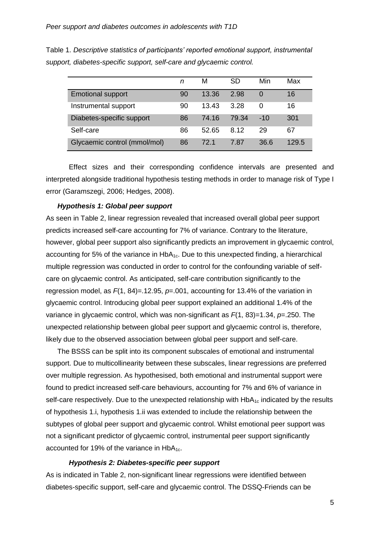|                              | n  | М     | SD    | Min   | Max   |
|------------------------------|----|-------|-------|-------|-------|
| <b>Emotional support</b>     | 90 | 13.36 | 2.98  | 0     | 16    |
| Instrumental support         | 90 | 13.43 | 3.28  | O     | 16    |
| Diabetes-specific support    | 86 | 74.16 | 79.34 | $-10$ | 301   |
| Self-care                    | 86 | 52.65 | 8.12  | 29    | 67    |
| Glycaemic control (mmol/mol) | 86 | 72.1  | 7.87  | 36.6  | 129.5 |

Table 1. *Descriptive statistics of participants' reported emotional support, instrumental support, diabetes-specific support, self-care and glycaemic control.*

Effect sizes and their corresponding confidence intervals are presented and interpreted alongside traditional hypothesis testing methods in order to manage risk of Type I error (Garamszegi, 2006; Hedges, 2008).

#### *Hypothesis 1: Global peer support*

As seen in Table 2, linear regression revealed that increased overall global peer support predicts increased self-care accounting for 7% of variance. Contrary to the literature, however, global peer support also significantly predicts an improvement in glycaemic control, accounting for 5% of the variance in  $HbA_{1c}$ . Due to this unexpected finding, a hierarchical multiple regression was conducted in order to control for the confounding variable of selfcare on glycaemic control. As anticipated, self-care contribution significantly to the regression model, as *F*(1, 84)=.12.95, *p*=.001, accounting for 13.4% of the variation in glycaemic control. Introducing global peer support explained an additional 1.4% of the variance in glycaemic control, which was non-significant as *F*(1, 83)=1.34, *p*=.250. The unexpected relationship between global peer support and glycaemic control is, therefore, likely due to the observed association between global peer support and self-care.

The BSSS can be split into its component subscales of emotional and instrumental support. Due to multicollinearity between these subscales, linear regressions are preferred over multiple regression. As hypothesised, both emotional and instrumental support were found to predict increased self-care behaviours, accounting for 7% and 6% of variance in self-care respectively. Due to the unexpected relationship with  $H\rightarrow A_{1c}$  indicated by the results of hypothesis 1.i, hypothesis 1.ii was extended to include the relationship between the subtypes of global peer support and glycaemic control. Whilst emotional peer support was not a significant predictor of glycaemic control, instrumental peer support significantly accounted for 19% of the variance in  $HbA_{1c}$ .

#### *Hypothesis 2: Diabetes-specific peer support*

As is indicated in Table 2, non-significant linear regressions were identified between diabetes-specific support, self-care and glycaemic control. The DSSQ-Friends can be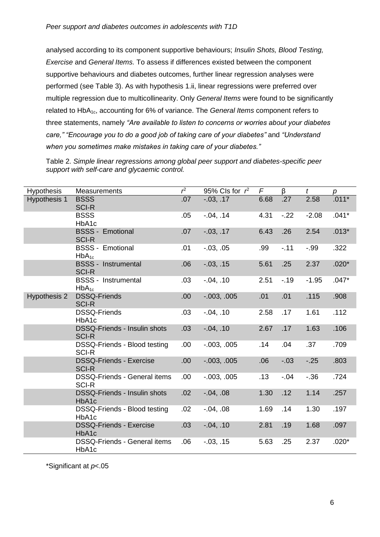analysed according to its component supportive behaviours; *Insulin Shots, Blood Testing, Exercise* and *General Items.* To assess if differences existed between the component supportive behaviours and diabetes outcomes, further linear regression analyses were performed (see Table 3). As with hypothesis 1.ii, linear regressions were preferred over multiple regression due to multicollinearity. Only *General Items* were found to be significantly related to HbA1c, accounting for 6% of variance. The *General Items* component refers to three statements, namely *"Are available to listen to concerns or worries about your diabetes care," "Encourage you to do a good job of taking care of your diabetes"* and *"Understand when you sometimes make mistakes in taking care of your diabetes."*

Table 2. *Simple linear regressions among global peer support and diabetes-specific peer support with self-care and glycaemic control.*

| <b>Hypothesis</b> | Measurements                                        | $r^2$ | 95% Cls for $r^2$ | F    | $\beta$ | $\mathfrak{t}$ | р       |
|-------------------|-----------------------------------------------------|-------|-------------------|------|---------|----------------|---------|
| Hypothesis 1      | <b>BSSS</b><br><b>SCI-R</b>                         | .07   | $-0.03, 0.17$     | 6.68 | .27     | 2.58           | $.011*$ |
|                   | <b>BSSS</b><br>HbA1c                                | .05   | $-0.04, 0.14$     | 4.31 | $-22$   | $-2.08$        | $.041*$ |
|                   | <b>BSSS - Emotional</b><br><b>SCI-R</b>             | .07   | $-03, 17$         | 6.43 | .26     | 2.54           | $.013*$ |
|                   | <b>BSSS - Emotional</b><br>$HbA_{1c}$               | .01   | $-0.03, 0.05$     | .99  | $-11$   | $-.99$         | .322    |
|                   | <b>BSSS - Instrumental</b><br><b>SCI-R</b>          | .06   | $-03, .15$        | 5.61 | .25     | 2.37           | $.020*$ |
|                   | <b>BSSS - Instrumental</b><br>$HbA_{1c}$            | .03   | $-0.04, .10$      | 2.51 | $-19$   | $-1.95$        | $.047*$ |
| Hypothesis 2      | <b>DSSQ-Friends</b><br><b>SCI-R</b>                 | .00.  | $-0.003, 0.005$   | .01  | .01     | .115           | .908    |
|                   | DSSQ-Friends<br>HbA1c                               | .03   | $-0.04, 0.10$     | 2.58 | .17     | 1.61           | .112    |
|                   | <b>DSSQ-Friends - Insulin shots</b><br><b>SCI-R</b> | .03   | $-0.04, .10$      | 2.67 | .17     | 1.63           | .106    |
|                   | DSSQ-Friends - Blood testing<br><b>SCI-R</b>        | .00.  | $-0.003, 0.005$   | .14  | .04     | .37            | .709    |
|                   | <b>DSSQ-Friends - Exercise</b><br><b>SCI-R</b>      | .00.  | $-0.003, 0.005$   | .06  | $-03$   | $-25$          | .803    |
|                   | <b>DSSQ-Friends - General items</b><br><b>SCI-R</b> | .00.  | $-0.003, 0.005$   | .13  | $-.04$  | $-36$          | .724    |
|                   | <b>DSSQ-Friends - Insulin shots</b><br>HbA1c        | .02   | $-0.04, 0.08$     | 1.30 | .12     | 1.14           | .257    |
|                   | DSSQ-Friends - Blood testing<br>HbA1c               | .02   | $-0.04, 0.08$     | 1.69 | .14     | 1.30           | .197    |
|                   | <b>DSSQ-Friends - Exercise</b><br>HbA1c             | .03   | $-0.04, 0.10$     | 2.81 | .19     | 1.68           | .097    |
|                   | <b>DSSQ-Friends - General items</b><br>HbA1c        | .06   | $-0.03, .15$      | 5.63 | .25     | 2.37           | $.020*$ |

\*Significant at *p*<.05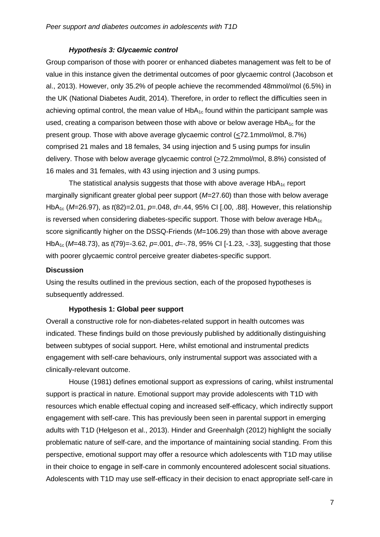#### *Hypothesis 3: Glycaemic control*

Group comparison of those with poorer or enhanced diabetes management was felt to be of value in this instance given the detrimental outcomes of poor glycaemic control (Jacobson et al., 2013). However, only 35.2% of people achieve the recommended 48mmol/mol (6.5%) in the UK (National Diabetes Audit, 2014). Therefore, in order to reflect the difficulties seen in achieving optimal control, the mean value of  $HbA<sub>1c</sub>$  found within the participant sample was used, creating a comparison between those with above or below average  $HbA_{1c}$  for the present group. Those with above average glycaemic control (<72.1mmol/mol, 8.7%) comprised 21 males and 18 females, 34 using injection and 5 using pumps for insulin delivery. Those with below average glycaemic control (>72.2mmol/mol, 8.8%) consisted of 16 males and 31 females, with 43 using injection and 3 using pumps.

The statistical analysis suggests that those with above average  $HbA_{1c}$  report marginally significant greater global peer support (*M*=27.60) than those with below average HbA1c (*M*=26.97), as *t*(82)=2.01, *p*=.048, *d*=.44, 95% CI [.00, .88]. However, this relationship is reversed when considering diabetes-specific support. Those with below average  $HbA_{1c}$ score significantly higher on the DSSQ-Friends (*M*=106.29) than those with above average HbA1c (*M*=48.73), as *t*(79)=-3.62, *p*=.001, *d*=-.78, 95% CI [-1.23, -.33], suggesting that those with poorer glycaemic control perceive greater diabetes-specific support.

#### **Discussion**

Using the results outlined in the previous section, each of the proposed hypotheses is subsequently addressed.

#### **Hypothesis 1: Global peer support**

Overall a constructive role for non-diabetes-related support in health outcomes was indicated. These findings build on those previously published by additionally distinguishing between subtypes of social support. Here, whilst emotional and instrumental predicts engagement with self-care behaviours, only instrumental support was associated with a clinically-relevant outcome.

House (1981) defines emotional support as expressions of caring, whilst instrumental support is practical in nature. Emotional support may provide adolescents with T1D with resources which enable effectual coping and increased self-efficacy, which indirectly support engagement with self-care. This has previously been seen in parental support in emerging adults with T1D (Helgeson et al., 2013). Hinder and Greenhalgh (2012) highlight the socially problematic nature of self-care, and the importance of maintaining social standing. From this perspective, emotional support may offer a resource which adolescents with T1D may utilise in their choice to engage in self-care in commonly encountered adolescent social situations. Adolescents with T1D may use self-efficacy in their decision to enact appropriate self-care in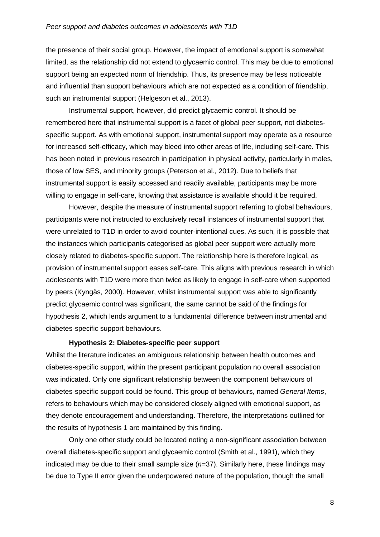#### *Peer support and diabetes outcomes in adolescents with T1D*

the presence of their social group. However, the impact of emotional support is somewhat limited, as the relationship did not extend to glycaemic control. This may be due to emotional support being an expected norm of friendship. Thus, its presence may be less noticeable and influential than support behaviours which are not expected as a condition of friendship, such an instrumental support (Helgeson et al., 2013).

Instrumental support, however, did predict glycaemic control. It should be remembered here that instrumental support is a facet of global peer support, not diabetesspecific support. As with emotional support, instrumental support may operate as a resource for increased self-efficacy, which may bleed into other areas of life, including self-care. This has been noted in previous research in participation in physical activity, particularly in males, those of low SES, and minority groups (Peterson et al., 2012). Due to beliefs that instrumental support is easily accessed and readily available, participants may be more willing to engage in self-care, knowing that assistance is available should it be required.

However, despite the measure of instrumental support referring to global behaviours, participants were not instructed to exclusively recall instances of instrumental support that were unrelated to T1D in order to avoid counter-intentional cues. As such, it is possible that the instances which participants categorised as global peer support were actually more closely related to diabetes-specific support. The relationship here is therefore logical, as provision of instrumental support eases self-care. This aligns with previous research in which adolescents with T1D were more than twice as likely to engage in self-care when supported by peers (Kyngäs, 2000). However, whilst instrumental support was able to significantly predict glycaemic control was significant, the same cannot be said of the findings for hypothesis 2, which lends argument to a fundamental difference between instrumental and diabetes-specific support behaviours.

#### **Hypothesis 2: Diabetes-specific peer support**

Whilst the literature indicates an ambiguous relationship between health outcomes and diabetes-specific support, within the present participant population no overall association was indicated. Only one significant relationship between the component behaviours of diabetes-specific support could be found. This group of behaviours, named *General Items*, refers to behaviours which may be considered closely aligned with emotional support, as they denote encouragement and understanding. Therefore, the interpretations outlined for the results of hypothesis 1 are maintained by this finding.

Only one other study could be located noting a non-significant association between overall diabetes-specific support and glycaemic control (Smith et al., 1991), which they indicated may be due to their small sample size (*n*=37). Similarly here, these findings may be due to Type II error given the underpowered nature of the population, though the small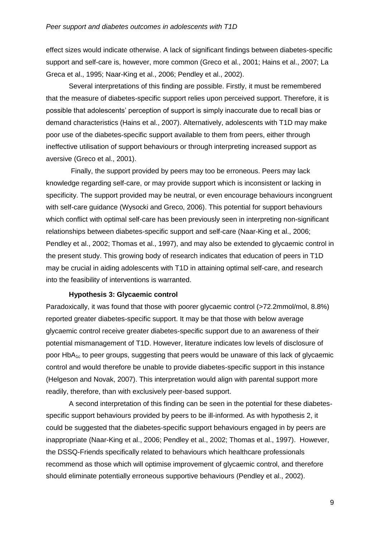effect sizes would indicate otherwise. A lack of significant findings between diabetes-specific support and self-care is, however, more common (Greco et al., 2001; Hains et al., 2007; La Greca et al., 1995; Naar-King et al., 2006; Pendley et al., 2002).

Several interpretations of this finding are possible. Firstly, it must be remembered that the measure of diabetes-specific support relies upon perceived support. Therefore, it is possible that adolescents' perception of support is simply inaccurate due to recall bias or demand characteristics (Hains et al., 2007). Alternatively, adolescents with T1D may make poor use of the diabetes-specific support available to them from peers, either through ineffective utilisation of support behaviours or through interpreting increased support as aversive (Greco et al., 2001).

Finally, the support provided by peers may too be erroneous. Peers may lack knowledge regarding self-care, or may provide support which is inconsistent or lacking in specificity. The support provided may be neutral, or even encourage behaviours incongruent with self-care guidance (Wysocki and Greco, 2006). This potential for support behaviours which conflict with optimal self-care has been previously seen in interpreting non-significant relationships between diabetes-specific support and self-care (Naar-King et al., 2006; Pendley et al., 2002; Thomas et al., 1997), and may also be extended to glycaemic control in the present study. This growing body of research indicates that education of peers in T1D may be crucial in aiding adolescents with T1D in attaining optimal self-care, and research into the feasibility of interventions is warranted.

#### **Hypothesis 3: Glycaemic control**

Paradoxically, it was found that those with poorer glycaemic control (>72.2mmol/mol, 8.8%) reported greater diabetes-specific support. It may be that those with below average glycaemic control receive greater diabetes-specific support due to an awareness of their potential mismanagement of T1D. However, literature indicates low levels of disclosure of poor  $HbA_{1c}$  to peer groups, suggesting that peers would be unaware of this lack of glycaemic control and would therefore be unable to provide diabetes-specific support in this instance (Helgeson and Novak, 2007). This interpretation would align with parental support more readily, therefore, than with exclusively peer-based support.

A second interpretation of this finding can be seen in the potential for these diabetesspecific support behaviours provided by peers to be ill-informed. As with hypothesis 2, it could be suggested that the diabetes-specific support behaviours engaged in by peers are inappropriate (Naar-King et al., 2006; Pendley et al., 2002; Thomas et al., 1997). However, the DSSQ-Friends specifically related to behaviours which healthcare professionals recommend as those which will optimise improvement of glycaemic control, and therefore should eliminate potentially erroneous supportive behaviours (Pendley et al., 2002).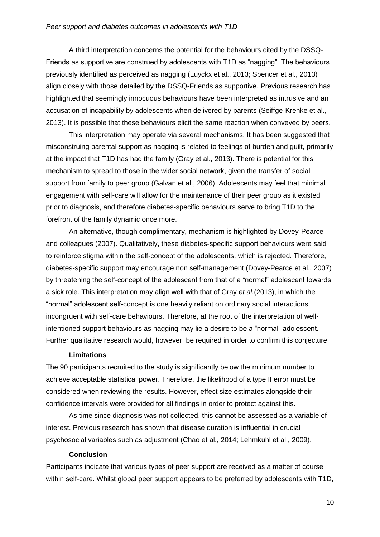A third interpretation concerns the potential for the behaviours cited by the DSSQ-Friends as supportive are construed by adolescents with T1D as "nagging". The behaviours previously identified as perceived as nagging (Luyckx et al., 2013; Spencer et al., 2013) align closely with those detailed by the DSSQ-Friends as supportive. Previous research has highlighted that seemingly innocuous behaviours have been interpreted as intrusive and an accusation of incapability by adolescents when delivered by parents (Seiffge-Krenke et al., 2013). It is possible that these behaviours elicit the same reaction when conveyed by peers.

This interpretation may operate via several mechanisms. It has been suggested that misconstruing parental support as nagging is related to feelings of burden and guilt, primarily at the impact that T1D has had the family (Gray et al., 2013). There is potential for this mechanism to spread to those in the wider social network, given the transfer of social support from family to peer group (Galvan et al., 2006). Adolescents may feel that minimal engagement with self-care will allow for the maintenance of their peer group as it existed prior to diagnosis, and therefore diabetes-specific behaviours serve to bring T1D to the forefront of the family dynamic once more.

An alternative, though complimentary, mechanism is highlighted by Dovey-Pearce and colleagues (2007). Qualitatively, these diabetes-specific support behaviours were said to reinforce stigma within the self-concept of the adolescents, which is rejected. Therefore, diabetes-specific support may encourage non self-management (Dovey-Pearce et al., 2007) by threatening the self-concept of the adolescent from that of a "normal" adolescent towards a sick role. This interpretation may align well with that of Gray *et al.*(2013), in which the "normal" adolescent self-concept is one heavily reliant on ordinary social interactions, incongruent with self-care behaviours. Therefore, at the root of the interpretation of wellintentioned support behaviours as nagging may lie a desire to be a "normal" adolescent. Further qualitative research would, however, be required in order to confirm this conjecture.

#### **Limitations**

The 90 participants recruited to the study is significantly below the minimum number to achieve acceptable statistical power. Therefore, the likelihood of a type II error must be considered when reviewing the results. However, effect size estimates alongside their confidence intervals were provided for all findings in order to protect against this.

As time since diagnosis was not collected, this cannot be assessed as a variable of interest. Previous research has shown that disease duration is influential in crucial psychosocial variables such as adjustment (Chao et al., 2014; Lehmkuhl et al., 2009).

#### **Conclusion**

Participants indicate that various types of peer support are received as a matter of course within self-care. Whilst global peer support appears to be preferred by adolescents with T1D,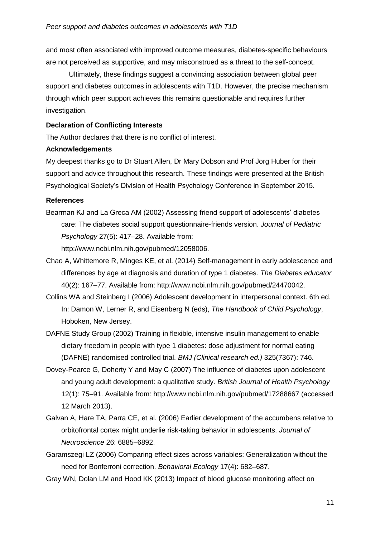and most often associated with improved outcome measures, diabetes-specific behaviours are not perceived as supportive, and may misconstrued as a threat to the self-concept.

Ultimately, these findings suggest a convincing association between global peer support and diabetes outcomes in adolescents with T1D. However, the precise mechanism through which peer support achieves this remains questionable and requires further investigation.

## **Declaration of Conflicting Interests**

The Author declares that there is no conflict of interest.

#### **Acknowledgements**

My deepest thanks go to Dr Stuart Allen, Dr Mary Dobson and Prof Jorg Huber for their support and advice throughout this research. These findings were presented at the British Psychological Society's Division of Health Psychology Conference in September 2015.

#### **References**

Bearman KJ and La Greca AM (2002) Assessing friend support of adolescents' diabetes care: The diabetes social support questionnaire-friends version. *Journal of Pediatric Psychology* 27(5): 417–28. Available from:

http://www.ncbi.nlm.nih.gov/pubmed/12058006.

- Chao A, Whittemore R, Minges KE, et al. (2014) Self-management in early adolescence and differences by age at diagnosis and duration of type 1 diabetes. *The Diabetes educator* 40(2): 167–77. Available from: http://www.ncbi.nlm.nih.gov/pubmed/24470042.
- Collins WA and Steinberg I (2006) Adolescent development in interpersonal context. 6th ed. In: Damon W, Lerner R, and Eisenberg N (eds), *The Handbook of Child Psychology*, Hoboken, New Jersey.
- DAFNE Study Group (2002) Training in flexible, intensive insulin management to enable dietary freedom in people with type 1 diabetes: dose adjustment for normal eating (DAFNE) randomised controlled trial. *BMJ (Clinical research ed.)* 325(7367): 746.
- Dovey-Pearce G, Doherty Y and May C (2007) The influence of diabetes upon adolescent and young adult development: a qualitative study. *British Journal of Health Psychology* 12(1): 75–91. Available from: http://www.ncbi.nlm.nih.gov/pubmed/17288667 (accessed 12 March 2013).
- Galvan A, Hare TA, Parra CE, et al. (2006) Earlier development of the accumbens relative to orbitofrontal cortex might underlie risk-taking behavior in adolescents. *Journal of Neuroscience* 26: 6885–6892.
- Garamszegi LZ (2006) Comparing effect sizes across variables: Generalization without the need for Bonferroni correction. *Behavioral Ecology* 17(4): 682–687.
- Gray WN, Dolan LM and Hood KK (2013) Impact of blood glucose monitoring affect on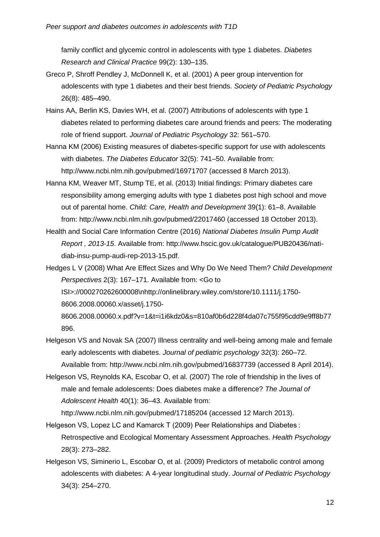family conflict and glycemic control in adolescents with type 1 diabetes. *Diabetes Research and Clinical Practice* 99(2): 130–135.

- Greco P, Shroff Pendley J, McDonnell K, et al. (2001) A peer group intervention for adolescents with type 1 diabetes and their best friends. *Society of Pediatric Psychology* 26(8): 485–490.
- Hains AA, Berlin KS, Davies WH, et al. (2007) Attributions of adolescents with type 1 diabetes related to performing diabetes care around friends and peers: The moderating role of friend support. *Journal of Pediatric Psychology* 32: 561–570.
- Hanna KM (2006) Existing measures of diabetes-specific support for use with adolescents with diabetes. *The Diabetes Educator* 32(5): 741–50. Available from: http://www.ncbi.nlm.nih.gov/pubmed/16971707 (accessed 8 March 2013).
- Hanna KM, Weaver MT, Stump TE, et al. (2013) Initial findings: Primary diabetes care responsibility among emerging adults with type 1 diabetes post high school and move out of parental home. *Child: Care, Health and Development* 39(1): 61–8. Available from: http://www.ncbi.nlm.nih.gov/pubmed/22017460 (accessed 18 October 2013).
- Health and Social Care Information Centre (2016) *National Diabetes Insulin Pump Audit Report , 2013-15*. Available from: http://www.hscic.gov.uk/catalogue/PUB20436/natidiab-insu-pump-audi-rep-2013-15.pdf.
- Hedges L V (2008) What Are Effect Sizes and Why Do We Need Them? *Child Development Perspectives* 2(3): 167–171. Available from: <Go to ISI>://000270262600008\nhttp://onlinelibrary.wiley.com/store/10.1111/j.1750- 8606.2008.00060.x/asset/j.1750- 8606.2008.00060.x.pdf?v=1&t=i1i6kdz0&s=810af0b6d228f4da07c755f95cdd9e9ff8b77

896.

- Helgeson VS and Novak SA (2007) Illness centrality and well-being among male and female early adolescents with diabetes. *Journal of pediatric psychology* 32(3): 260–72. Available from: http://www.ncbi.nlm.nih.gov/pubmed/16837739 (accessed 8 April 2014).
- Helgeson VS, Reynolds KA, Escobar O, et al. (2007) The role of friendship in the lives of male and female adolescents: Does diabetes make a difference? *The Journal of Adolescent Health* 40(1): 36–43. Available from:

http://www.ncbi.nlm.nih.gov/pubmed/17185204 (accessed 12 March 2013).

- Helgeson VS, Lopez LC and Kamarck T (2009) Peer Relationships and Diabetes : Retrospective and Ecological Momentary Assessment Approaches. *Health Psychology* 28(3): 273–282.
- Helgeson VS, Siminerio L, Escobar O, et al. (2009) Predictors of metabolic control among adolescents with diabetes: A 4-year longitudinal study. *Journal of Pediatric Psychology* 34(3): 254–270.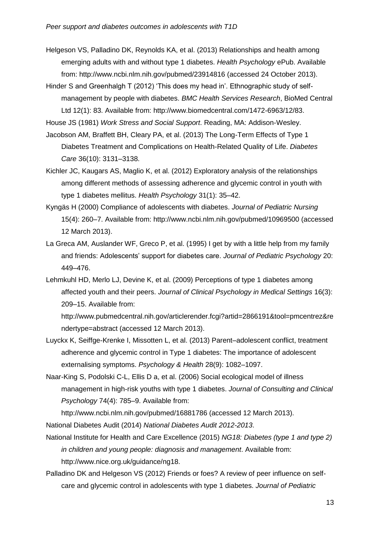Helgeson VS, Palladino DK, Reynolds KA, et al. (2013) Relationships and health among emerging adults with and without type 1 diabetes. *Health Psychology* ePub. Available from: http://www.ncbi.nlm.nih.gov/pubmed/23914816 (accessed 24 October 2013).

Hinder S and Greenhalgh T (2012) 'This does my head in'. Ethnographic study of selfmanagement by people with diabetes. *BMC Health Services Research*, BioMed Central Ltd 12(1): 83. Available from: http://www.biomedcentral.com/1472-6963/12/83.

House JS (1981) *Work Stress and Social Support*. Reading, MA: Addison-Wesley.

- Jacobson AM, Braffett BH, Cleary PA, et al. (2013) The Long-Term Effects of Type 1 Diabetes Treatment and Complications on Health-Related Quality of Life. *Diabetes Care* 36(10): 3131–3138.
- Kichler JC, Kaugars AS, Maglio K, et al. (2012) Exploratory analysis of the relationships among different methods of assessing adherence and glycemic control in youth with type 1 diabetes mellitus. *Health Psychology* 31(1): 35–42.
- Kyngäs H (2000) Compliance of adolescents with diabetes. *Journal of Pediatric Nursing* 15(4): 260–7. Available from: http://www.ncbi.nlm.nih.gov/pubmed/10969500 (accessed 12 March 2013).
- La Greca AM, Auslander WF, Greco P, et al. (1995) I get by with a little help from my family and friends: Adolescents' support for diabetes care. *Journal of Pediatric Psychology* 20: 449–476.
- Lehmkuhl HD, Merlo LJ, Devine K, et al. (2009) Perceptions of type 1 diabetes among affected youth and their peers. *Journal of Clinical Psychology in Medical Settings* 16(3): 209–15. Available from:

http://www.pubmedcentral.nih.gov/articlerender.fcgi?artid=2866191&tool=pmcentrez&re ndertype=abstract (accessed 12 March 2013).

- Luyckx K, Seiffge-Krenke I, Missotten L, et al. (2013) Parent–adolescent conflict, treatment adherence and glycemic control in Type 1 diabetes: The importance of adolescent externalising symptoms. *Psychology & Health* 28(9): 1082–1097.
- Naar-King S, Podolski C-L, Ellis D a, et al. (2006) Social ecological model of illness management in high-risk youths with type 1 diabetes. *Journal of Consulting and Clinical Psychology* 74(4): 785–9. Available from:

http://www.ncbi.nlm.nih.gov/pubmed/16881786 (accessed 12 March 2013).

National Diabetes Audit (2014) *National Diabetes Audit 2012-2013*.

- National Institute for Health and Care Excellence (2015) *NG18: Diabetes (type 1 and type 2) in children and young people: diagnosis and management*. Available from: http://www.nice.org.uk/guidance/ng18.
- Palladino DK and Helgeson VS (2012) Friends or foes? A review of peer influence on selfcare and glycemic control in adolescents with type 1 diabetes. *Journal of Pediatric*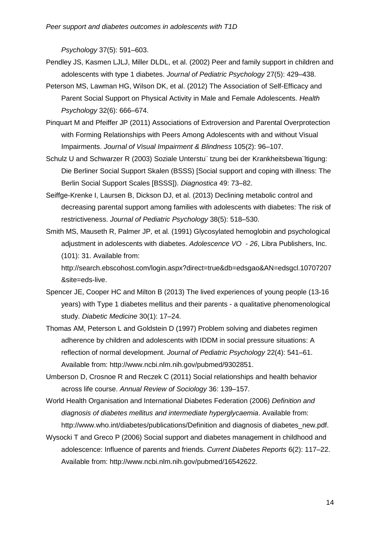*Psychology* 37(5): 591–603.

- Pendley JS, Kasmen LJLJ, Miller DLDL, et al. (2002) Peer and family support in children and adolescents with type 1 diabetes. *Journal of Pediatric Psychology* 27(5): 429–438.
- Peterson MS, Lawman HG, Wilson DK, et al. (2012) The Association of Self-Efficacy and Parent Social Support on Physical Activity in Male and Female Adolescents. *Health Psychology* 32(6): 666–674.
- Pinquart M and Pfeiffer JP (2011) Associations of Extroversion and Parental Overprotection with Forming Relationships with Peers Among Adolescents with and without Visual Impairments. *Journal of Visual Impairment & Blindness* 105(2): 96–107.
- Schulz U and Schwarzer R (2003) Soziale Unterstu¨ tzung bei der Krankheitsbewa¨ltigung: Die Berliner Social Support Skalen (BSSS) [Social support and coping with illness: The Berlin Social Support Scales [BSSS]). *Diagnostica* 49: 73–82.
- Seiffge-Krenke I, Laursen B, Dickson DJ, et al. (2013) Declining metabolic control and decreasing parental support among families with adolescents with diabetes: The risk of restrictiveness. *Journal of Pediatric Psychology* 38(5): 518–530.
- Smith MS, Mauseth R, Palmer JP, et al. (1991) Glycosylated hemoglobin and psychological adjustment in adolescents with diabetes. *Adolescence VO - 26*, Libra Publishers, Inc. (101): 31. Available from:

http://search.ebscohost.com/login.aspx?direct=true&db=edsgao&AN=edsgcl.10707207 &site=eds-live.

- Spencer JE, Cooper HC and Milton B (2013) The lived experiences of young people (13-16 years) with Type 1 diabetes mellitus and their parents - a qualitative phenomenological study. *Diabetic Medicine* 30(1): 17–24.
- Thomas AM, Peterson L and Goldstein D (1997) Problem solving and diabetes regimen adherence by children and adolescents with IDDM in social pressure situations: A reflection of normal development. *Journal of Pediatric Psychology* 22(4): 541–61. Available from: http://www.ncbi.nlm.nih.gov/pubmed/9302851.
- Umberson D, Crosnoe R and Reczek C (2011) Social relationships and health behavior across life course. *Annual Review of Sociology* 36: 139–157.
- World Health Organisation and International Diabetes Federation (2006) *Definition and diagnosis of diabetes mellitus and intermediate hyperglycaemia*. Available from: http://www.who.int/diabetes/publications/Definition and diagnosis of diabetes\_new.pdf.
- Wysocki T and Greco P (2006) Social support and diabetes management in childhood and adolescence: Influence of parents and friends. *Current Diabetes Reports* 6(2): 117–22. Available from: http://www.ncbi.nlm.nih.gov/pubmed/16542622.